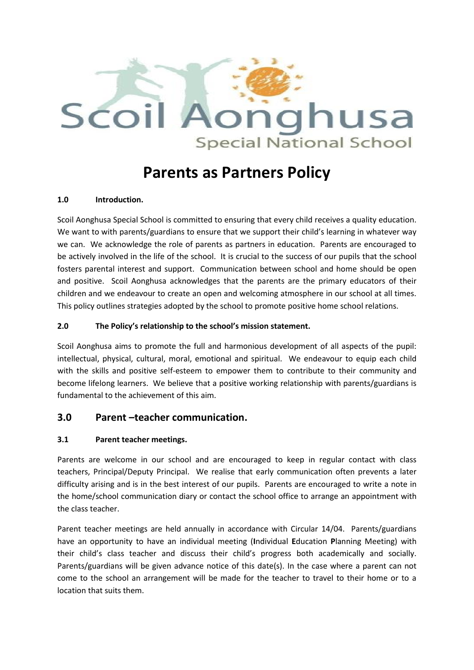

# **Parents as Partners Policy**

## **1.0 Introduction.**

Scoil Aonghusa Special School is committed to ensuring that every child receives a quality education. We want to with parents/guardians to ensure that we support their child's learning in whatever way we can. We acknowledge the role of parents as partners in education. Parents are encouraged to be actively involved in the life of the school. It is crucial to the success of our pupils that the school fosters parental interest and support. Communication between school and home should be open and positive. Scoil Aonghusa acknowledges that the parents are the primary educators of their children and we endeavour to create an open and welcoming atmosphere in our school at all times. This policy outlines strategies adopted by the school to promote positive home school relations.

## **2.0 The Policy's relationship to the school's mission statement.**

Scoil Aonghusa aims to promote the full and harmonious development of all aspects of the pupil: intellectual, physical, cultural, moral, emotional and spiritual. We endeavour to equip each child with the skills and positive self-esteem to empower them to contribute to their community and become lifelong learners. We believe that a positive working relationship with parents/guardians is fundamental to the achievement of this aim.

# **3.0 Parent –teacher communication.**

## **3.1 Parent teacher meetings.**

Parents are welcome in our school and are encouraged to keep in regular contact with class teachers, Principal/Deputy Principal. We realise that early communication often prevents a later difficulty arising and is in the best interest of our pupils. Parents are encouraged to write a note in the home/school communication diary or contact the school office to arrange an appointment with the class teacher.

Parent teacher meetings are held annually in accordance with Circular 14/04. Parents/guardians have an opportunity to have an individual meeting (**I**ndividual **E**ducation **P**lanning Meeting) with their child's class teacher and discuss their child's progress both academically and socially. Parents/guardians will be given advance notice of this date(s). In the case where a parent can not come to the school an arrangement will be made for the teacher to travel to their home or to a location that suits them.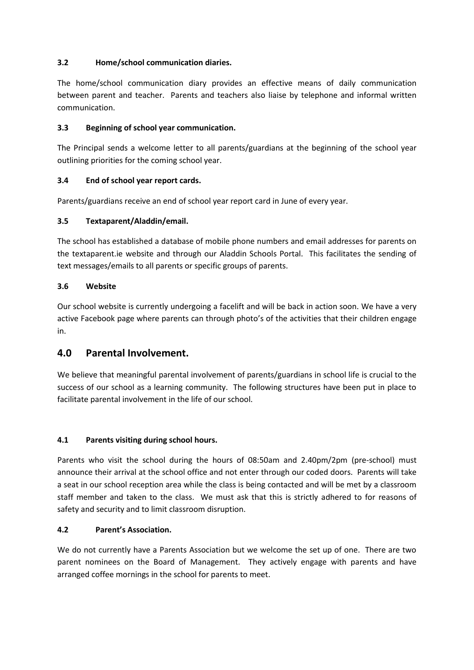## **3.2 Home/school communication diaries.**

The home/school communication diary provides an effective means of daily communication between parent and teacher. Parents and teachers also liaise by telephone and informal written communication.

## **3.3 Beginning of school year communication.**

The Principal sends a welcome letter to all parents/guardians at the beginning of the school year outlining priorities for the coming school year.

## **3.4 End of school year report cards.**

Parents/guardians receive an end of school year report card in June of every year.

## **3.5 Textaparent/Aladdin/email.**

The school has established a database of mobile phone numbers and email addresses for parents on the textaparent.ie website and through our Aladdin Schools Portal. This facilitates the sending of text messages/emails to all parents or specific groups of parents.

## **3.6 Website**

Our school website is currently undergoing a facelift and will be back in action soon. We have a very active Facebook page where parents can through photo's of the activities that their children engage in.

## **4.0 Parental Involvement.**

We believe that meaningful parental involvement of parents/guardians in school life is crucial to the success of our school as a learning community. The following structures have been put in place to facilitate parental involvement in the life of our school.

## **4.1 Parents visiting during school hours.**

Parents who visit the school during the hours of 08:50am and 2.40pm/2pm (pre-school) must announce their arrival at the school office and not enter through our coded doors. Parents will take a seat in our school reception area while the class is being contacted and will be met by a classroom staff member and taken to the class. We must ask that this is strictly adhered to for reasons of safety and security and to limit classroom disruption.

## **4.2 Parent's Association.**

We do not currently have a Parents Association but we welcome the set up of one. There are two parent nominees on the Board of Management. They actively engage with parents and have arranged coffee mornings in the school for parents to meet.